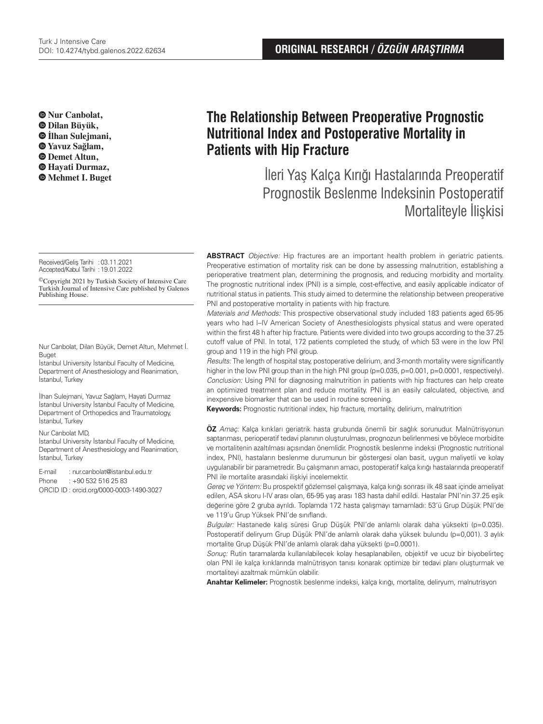**Nur Canbolat, Dilan Büyük, İlhan Sulejmani, Yavuz Sağlam, Demet Altun, Hayati Durmaz, Mehmet I. Buget**

Received/Geliş Tarihi : 03.11.2021 Accepted/Kabul Tarihi :19.01.2022

©Copyright 2021 by Turkish Society of Intensive Care Turkish Journal of Intensive Care published by Galenos Publishing House.

Nur Canbolat, Dilan Büyük, Demet Altun, Mehmet İ. Buget

İstanbul University İstanbul Faculty of Medicine, Department of Anesthesiology and Reanimation, İstanbul, Turkey

İlhan Sulejmani, Yavuz Sağlam, Hayati Durmaz İstanbul University İstanbul Faculty of Medicine, Department of Orthopedics and Traumatology, İstanbul, Turkey

#### Nur Canbolat MD,

İstanbul University İstanbul Faculty of Medicine, Department of Anesthesiology and Reanimation, İstanbul, Turkey

E-mail : nur.canbolat@istanbul.edu.tr Phone : +90 532 516 25 83 ORCID ID : orcid.org/0000-0003-1490-3027

# **The Relationship Between Preoperative Prognostic Nutritional Index and Postoperative Mortality in Patients with Hip Fracture**

İleri Yaş Kalça Kırığı Hastalarında Preoperatif Prognostik Beslenme Indeksinin Postoperatif Mortaliteyle İlişkisi

**ABSTRACT** Objective: Hip fractures are an important health problem in geriatric patients. Preoperative estimation of mortality risk can be done by assessing malnutrition, establishing a perioperative treatment plan, determining the prognosis, and reducing morbidity and mortality. The prognostic nutritional index (PNI) is a simple, cost-effective, and easily applicable indicator of nutritional status in patients. This study aimed to determine the relationship between preoperative PNI and postoperative mortality in patients with hip fracture.

Materials and Methods: This prospective observational study included 183 patients aged 65-95 years who had I–IV American Society of Anesthesiologists physical status and were operated within the first 48 h after hip fracture. Patients were divided into two groups according to the 37.25 cutoff value of PNI. In total, 172 patients completed the study, of which 53 were in the low PNI group and 119 in the high PNI group.

Results: The length of hospital stay, postoperative delirium, and 3-month mortality were significantly higher in the low PNI group than in the high PNI group (p=0.035, p=0.001, p=0.0001, respectively). Conclusion: Using PNI for diagnosing malnutrition in patients with hip fractures can help create an optimized treatment plan and reduce mortality. PNI is an easily calculated, objective, and inexpensive biomarker that can be used in routine screening.

**Keywords:** Prognostic nutritional index, hip fracture, mortality, delirium, malnutrition

**ÖZ** Amaç: Kalça kırıkları geriatrik hasta grubunda önemli bir sağlık sorunudur. Malnütrisyonun saptanması, perioperatif tedavi planının oluşturulması, prognozun belirlenmesi ve böylece morbidite ve mortalitenin azaltılması açısından önemlidir. Prognostik beslenme indeksi (Prognostic nutritional index, PNI), hastaların beslenme durumunun bir göstergesi olan basit, uygun maliyetli ve kolay uygulanabilir bir parametredir. Bu çalışmanın amacı, postoperatif kalça kırığı hastalarında preoperatif PNI ile mortalite arasındaki ilişkiyi incelemektir.

Gereç ve Yöntem: Bu prospektif gözlemsel çalışmaya, kalça kırığı sonrası ilk 48 saat içinde ameliyat edilen, ASA skoru I-IV arası olan, 65-95 yaş arası 183 hasta dahil edildi. Hastalar PNI'nin 37.25 eşik değerine göre 2 gruba ayrıldı. Toplamda 172 hasta çalışmayı tamamladı: 53'ü Grup Düşük PNI'de ve 119'u Grup Yüksek PNI'de sınıflandı.

Bulgular: Hastanede kalış süresi Grup Düşük PNI'de anlamlı olarak daha yüksekti (p=0.035). Postoperatif deliryum Grup Düşük PNI'de anlamlı olarak daha yüksek bulundu (p=0,001). 3 aylık mortalite Grup Düşük PNI'de anlamlı olarak daha yüksekti (p=0.0001).

Sonuç: Rutin taramalarda kullanılabilecek kolay hesaplanabilen, objektif ve ucuz bir biyobelirteç olan PNI ile kalça kırıklarında malnütrisyon tanısı konarak optimize bir tedavi planı oluşturmak ve mortaliteyi azaltmak mümkün olabilir.

**Anahtar Kelimeler:** Prognostik beslenme indeksi, kalça kırığı, mortalite, deliryum, malnutrisyon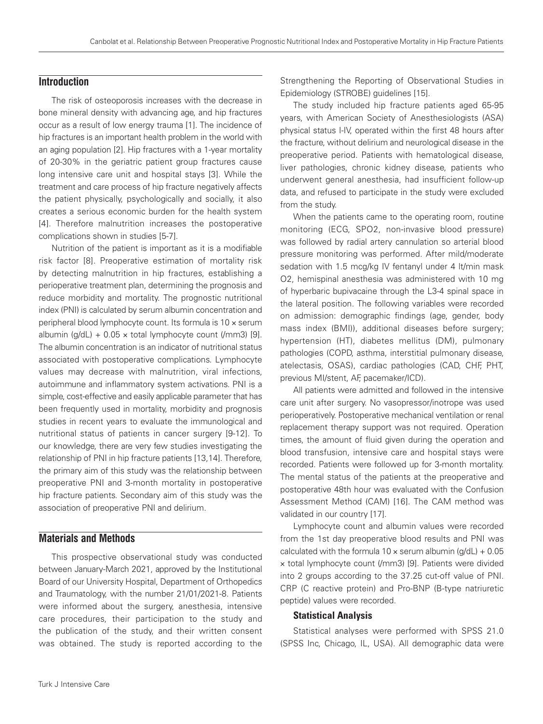# **Introduction**

The risk of osteoporosis increases with the decrease in bone mineral density with advancing age, and hip fractures occur as a result of low energy trauma [1]. The incidence of hip fractures is an important health problem in the world with an aging population [2]. Hip fractures with a 1-year mortality of 20-30% in the geriatric patient group fractures cause long intensive care unit and hospital stays [3]. While the treatment and care process of hip fracture negatively affects the patient physically, psychologically and socially, it also creates a serious economic burden for the health system [4]. Therefore malnutrition increases the postoperative complications shown in studies [5-7].

Nutrition of the patient is important as it is a modifiable risk factor [8]. Preoperative estimation of mortality risk by detecting malnutrition in hip fractures, establishing a perioperative treatment plan, determining the prognosis and reduce morbidity and mortality. The prognostic nutritional index (PNI) is calculated by serum albumin concentration and peripheral blood lymphocyte count. Its formula is 10 × serum albumin (q/dL) +  $0.05 \times$  total lymphocyte count (/mm3) [9]. The albumin concentration is an indicator of nutritional status associated with postoperative complications. Lymphocyte values may decrease with malnutrition, viral infections, autoimmune and inflammatory system activations. PNI is a simple, cost-effective and easily applicable parameter that has been frequently used in mortality, morbidity and prognosis studies in recent years to evaluate the immunological and nutritional status of patients in cancer surgery [9-12]. To our knowledge, there are very few studies investigating the relationship of PNI in hip fracture patients [13,14]. Therefore, the primary aim of this study was the relationship between preoperative PNI and 3-month mortality in postoperative hip fracture patients. Secondary aim of this study was the association of preoperative PNI and delirium.

# **Materials and Methods**

This prospective observational study was conducted between January-March 2021, approved by the Institutional Board of our University Hospital, Department of Orthopedics and Traumatology, with the number 21/01/2021-8. Patients were informed about the surgery, anesthesia, intensive care procedures, their participation to the study and the publication of the study, and their written consent was obtained. The study is reported according to the

Strengthening the Reporting of Observational Studies in Epidemiology (STROBE) guidelines [15].

The study included hip fracture patients aged 65-95 years, with American Society of Anesthesiologists (ASA) physical status I-IV, operated within the first 48 hours after the fracture, without delirium and neurological disease in the preoperative period. Patients with hematological disease, liver pathologies, chronic kidney disease, patients who underwent general anesthesia, had insufficient follow-up data, and refused to participate in the study were excluded from the study.

When the patients came to the operating room, routine monitoring (ECG, SPO2, non-invasive blood pressure) was followed by radial artery cannulation so arterial blood pressure monitoring was performed. After mild/moderate sedation with 1.5 mcg/kg IV fentanyl under 4 lt/min mask O2, hemispinal anesthesia was administered with 10 mg of hyperbaric bupivacaine through the L3-4 spinal space in the lateral position. The following variables were recorded on admission: demographic findings (age, gender, body mass index (BMI)), additional diseases before surgery; hypertension (HT), diabetes mellitus (DM), pulmonary pathologies (COPD, asthma, interstitial pulmonary disease, atelectasis, OSAS), cardiac pathologies (CAD, CHF, PHT, previous MI/stent, AF, pacemaker/ICD).

All patients were admitted and followed in the intensive care unit after surgery. No vasopressor/inotrope was used perioperatively. Postoperative mechanical ventilation or renal replacement therapy support was not required. Operation times, the amount of fluid given during the operation and blood transfusion, intensive care and hospital stays were recorded. Patients were followed up for 3-month mortality. The mental status of the patients at the preoperative and postoperative 48th hour was evaluated with the Confusion Assessment Method (CAM) [16]. The CAM method was validated in our country [17].

Lymphocyte count and albumin values were recorded from the 1st day preoperative blood results and PNI was calculated with the formula  $10 \times$  serum albumin (g/dL) + 0.05 × total lymphocyte count (/mm3) [9]. Patients were divided into 2 groups according to the 37.25 cut-off value of PNI. CRP (C reactive protein) and Pro-BNP (B-type natriuretic peptide) values were recorded.

#### Statistical Analysis

Statistical analyses were performed with SPSS 21.0 (SPSS Inc, Chicago, IL, USA). All demographic data were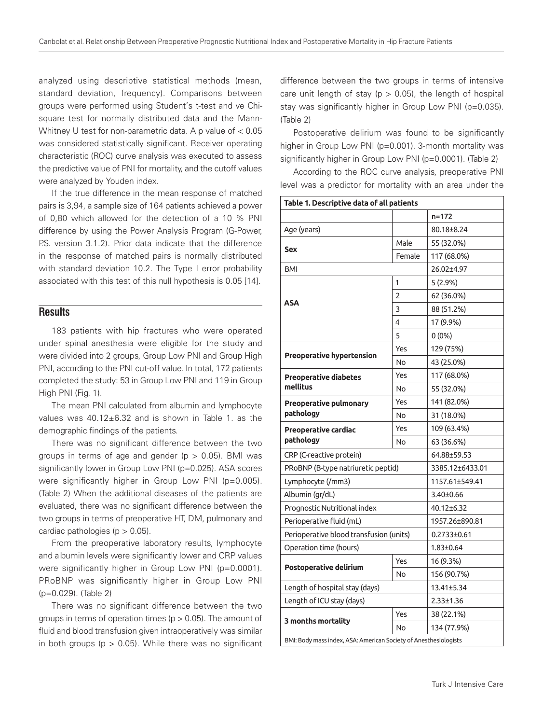analyzed using descriptive statistical methods (mean, standard deviation, frequency). Comparisons between groups were performed using Student's t-test and ve Chisquare test for normally distributed data and the Mann-Whitney U test for non-parametric data. A p value of  $< 0.05$ was considered statistically significant. Receiver operating characteristic (ROC) curve analysis was executed to assess the predictive value of PNI for mortality, and the cutoff values were analyzed by Youden index.

If the true difference in the mean response of matched pairs is 3,94, a sample size of 164 patients achieved a power of 0,80 which allowed for the detection of a 10 % PNI difference by using the Power Analysis Program (G-Power, P.S. version 3.1.2). Prior data indicate that the difference in the response of matched pairs is normally distributed with standard deviation 10.2. The Type I error probability associated with this test of this null hypothesis is 0.05 [14].

#### **Results**

183 patients with hip fractures who were operated under spinal anesthesia were eligible for the study and were divided into 2 groups, Group Low PNI and Group High PNI, according to the PNI cut-off value. In total, 172 patients completed the study: 53 in Group Low PNI and 119 in Group High PNI (Fig. 1).

The mean PNI calculated from albumin and lymphocyte values was 40.12±6.32 and is shown in Table 1. as the demographic findings of the patients.

There was no significant difference between the two groups in terms of age and gender ( $p > 0.05$ ). BMI was significantly lower in Group Low PNI (p=0.025). ASA scores were significantly higher in Group Low PNI (p=0.005). (Table 2) When the additional diseases of the patients are evaluated, there was no significant difference between the two groups in terms of preoperative HT, DM, pulmonary and cardiac pathologies ( $p > 0.05$ ).

From the preoperative laboratory results, lymphocyte and albumin levels were significantly lower and CRP values were significantly higher in Group Low PNI (p=0.0001). PRoBNP was significantly higher in Group Low PNI (p=0.029). (Table 2)

There was no significant difference between the two groups in terms of operation times ( $p > 0.05$ ). The amount of fluid and blood transfusion given intraoperatively was similar in both groups ( $p > 0.05$ ). While there was no significant difference between the two groups in terms of intensive care unit length of stay ( $p > 0.05$ ), the length of hospital stay was significantly higher in Group Low PNI (p=0.035). (Table 2)

Postoperative delirium was found to be significantly higher in Group Low PNI (p=0.001). 3-month mortality was significantly higher in Group Low PNI (p=0.0001). (Table 2)

According to the ROC curve analysis, preoperative PNI level was a predictor for mortality with an area under the

| Table 1. Descriptive data of all patients                        |        |                 |  |  |  |
|------------------------------------------------------------------|--------|-----------------|--|--|--|
|                                                                  |        | $n = 172$       |  |  |  |
| Age (years)                                                      |        | 80.18±8.24      |  |  |  |
|                                                                  | Male   | 55 (32.0%)      |  |  |  |
| Sex                                                              | Female | 117 (68.0%)     |  |  |  |
| <b>BMI</b>                                                       |        | 26.02±4.97      |  |  |  |
| <b>ASA</b>                                                       | 1      | $5(2.9\%)$      |  |  |  |
|                                                                  | 2      | 62 (36.0%)      |  |  |  |
|                                                                  | 3      | 88 (51.2%)      |  |  |  |
|                                                                  | 4      | 17 (9.9%)       |  |  |  |
|                                                                  | 5      | $0(0\%)$        |  |  |  |
| Preoperative hypertension                                        | Yes    | 129 (75%)       |  |  |  |
|                                                                  | No     | 43 (25.0%)      |  |  |  |
| <b>Preoperative diabetes</b>                                     | Yes    | 117 (68.0%)     |  |  |  |
| mellitus                                                         | No     | 55 (32.0%)      |  |  |  |
| Preoperative pulmonary                                           | Yes    | 141 (82.0%)     |  |  |  |
| pathology                                                        | No     | 31 (18.0%)      |  |  |  |
| Preoperative cardiac<br>pathology                                | Yes    | 109 (63.4%)     |  |  |  |
|                                                                  | No     | 63 (36.6%)      |  |  |  |
| CRP (C-reactive protein)                                         |        | 64.88±59.53     |  |  |  |
| PRoBNP (B-type natriuretic peptid)                               |        | 3385.12±6433.01 |  |  |  |
| Lymphocyte (/mm3)                                                |        | 1157.61±549.41  |  |  |  |
| Albumin (gr/dL)                                                  |        | 3.40±0.66       |  |  |  |
| Prognostic Nutritional index                                     |        | 40.12±6.32      |  |  |  |
| Perioperative fluid (mL)                                         |        | 1957.26±890.81  |  |  |  |
| Perioperative blood transfusion (units)                          |        | 0.2733±0.61     |  |  |  |
| Operation time (hours)                                           |        | $1.83 \pm 0.64$ |  |  |  |
| Postoperative delirium                                           | Yes    | 16 (9.3%)       |  |  |  |
|                                                                  | No     | 156 (90.7%)     |  |  |  |
| Length of hospital stay (days)                                   |        | 13.41±5.34      |  |  |  |
| Length of ICU stay (days)                                        |        | $2.33 \pm 1.36$ |  |  |  |
|                                                                  | Yes    | 38 (22.1%)      |  |  |  |
| 3 months mortality                                               | No     | 134 (77.9%)     |  |  |  |
| BMI: Body mass index, ASA: American Society of Anesthesiologists |        |                 |  |  |  |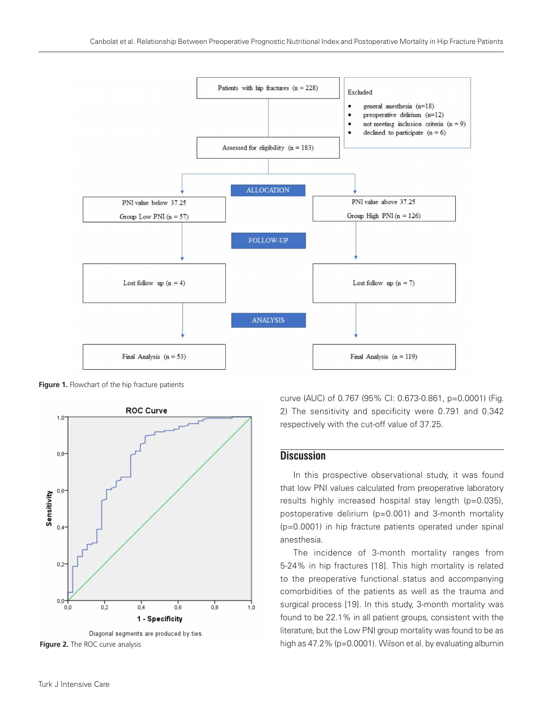

Figure 1. Flowchart of the hip fracture patients



Diagonal segments are produced by ties.

curve (AUC) of 0.767 (95% CI: 0.673-0.861, p=0.0001) (Fig. 2) The sensitivity and specificity were 0.791 and 0.342 respectively with the cut-off value of 37.25.

# **Discussion**

In this prospective observational study, it was found that low PNI values calculated from preoperative laboratory results highly increased hospital stay length (p=0.035), postoperative delirium (p=0.001) and 3-month mortality (p=0.0001) in hip fracture patients operated under spinal anesthesia.

The incidence of 3-month mortality ranges from 5-24% in hip fractures [18]. This high mortality is related to the preoperative functional status and accompanying comorbidities of the patients as well as the trauma and surgical process [19]. In this study, 3-month mortality was found to be 22.1% in all patient groups, consistent with the literature, but the Low PNI group mortality was found to be as **Figure 2.** The ROC curve analysis **high as 47.2% (p=0.0001). Wilson et al. by evaluating albumin**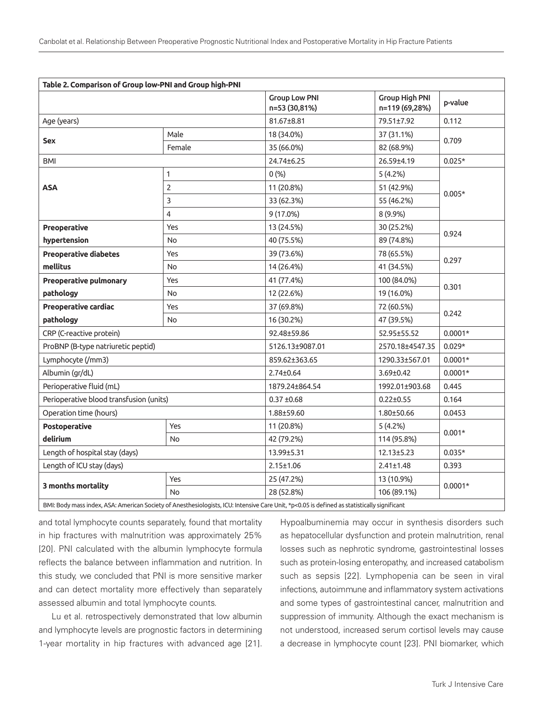| Table 2. Comparison of Group low-PNI and Group high-PNI                                                                                                                                                                                                                                                                                                                                         |                |                                       |                                         |           |  |  |
|-------------------------------------------------------------------------------------------------------------------------------------------------------------------------------------------------------------------------------------------------------------------------------------------------------------------------------------------------------------------------------------------------|----------------|---------------------------------------|-----------------------------------------|-----------|--|--|
|                                                                                                                                                                                                                                                                                                                                                                                                 |                | <b>Group Low PNI</b><br>n=53 (30,81%) | <b>Group High PNI</b><br>n=119 (69,28%) | p-value   |  |  |
| Age (years)                                                                                                                                                                                                                                                                                                                                                                                     |                | 81.67±8.81                            | 79.51±7.92                              | 0.112     |  |  |
| <b>Sex</b>                                                                                                                                                                                                                                                                                                                                                                                      | Male           | 18 (34.0%)                            | 37 (31.1%)                              | 0.709     |  |  |
|                                                                                                                                                                                                                                                                                                                                                                                                 | Female         | 35 (66.0%)                            | 82 (68.9%)                              |           |  |  |
| BMI                                                                                                                                                                                                                                                                                                                                                                                             |                | 24.74±6.25                            | 26.59±4.19                              | $0.025*$  |  |  |
| <b>ASA</b>                                                                                                                                                                                                                                                                                                                                                                                      | $\mathbf{1}$   | 0(%)                                  | 5(4.2%)                                 |           |  |  |
|                                                                                                                                                                                                                                                                                                                                                                                                 | $\overline{2}$ | 11 (20.8%)                            | 51 (42.9%)                              | $0.005*$  |  |  |
|                                                                                                                                                                                                                                                                                                                                                                                                 | 3              | 33 (62.3%)                            | 55 (46.2%)                              |           |  |  |
|                                                                                                                                                                                                                                                                                                                                                                                                 | $\overline{4}$ | 9 (17.0%)                             | 8 (9.9%)                                |           |  |  |
| Preoperative                                                                                                                                                                                                                                                                                                                                                                                    | Yes            | 13 (24.5%)                            | 30 (25.2%)                              | 0.924     |  |  |
| hypertension                                                                                                                                                                                                                                                                                                                                                                                    | <b>No</b>      | 40 (75.5%)                            | 89 (74.8%)                              |           |  |  |
| <b>Preoperative diabetes</b>                                                                                                                                                                                                                                                                                                                                                                    | Yes            | 39 (73.6%)                            | 78 (65.5%)                              | 0.297     |  |  |
| mellitus                                                                                                                                                                                                                                                                                                                                                                                        | <b>No</b>      | 14 (26.4%)                            | 41 (34.5%)                              |           |  |  |
| <b>Preoperative pulmonary</b>                                                                                                                                                                                                                                                                                                                                                                   | Yes            | 41 (77.4%)                            | 100 (84.0%)                             | 0.301     |  |  |
| pathology                                                                                                                                                                                                                                                                                                                                                                                       | <b>No</b>      | 12 (22.6%)                            | 19 (16.0%)                              |           |  |  |
| Preoperative cardiac                                                                                                                                                                                                                                                                                                                                                                            | Yes            | 37 (69.8%)                            | 72 (60.5%)                              |           |  |  |
| pathology                                                                                                                                                                                                                                                                                                                                                                                       | <b>No</b>      | 16 (30.2%)                            | 47 (39.5%)                              | 0.242     |  |  |
| CRP (C-reactive protein)                                                                                                                                                                                                                                                                                                                                                                        |                | 92.48±59.86                           | 52.95±55.52                             | $0.0001*$ |  |  |
| ProBNP (B-type natriuretic peptid)                                                                                                                                                                                                                                                                                                                                                              |                | 5126.13±9087.01                       | 2570.18±4547.35                         | $0.029*$  |  |  |
| Lymphocyte (/mm3)                                                                                                                                                                                                                                                                                                                                                                               |                | 859.62±363.65                         | 1290.33±567.01                          | $0.0001*$ |  |  |
| Albumin (gr/dL)                                                                                                                                                                                                                                                                                                                                                                                 |                | $2.74 \pm 0.64$                       | 3.69±0.42                               | $0.0001*$ |  |  |
| Perioperative fluid (mL)                                                                                                                                                                                                                                                                                                                                                                        |                | 1879.24±864.54                        | 1992.01±903.68                          | 0.445     |  |  |
| Perioperative blood transfusion (units)                                                                                                                                                                                                                                                                                                                                                         |                | $0.37 + 0.68$                         | $0.22 \pm 0.55$                         | 0.164     |  |  |
| Operation time (hours)                                                                                                                                                                                                                                                                                                                                                                          |                | 1.88±59.60                            | $1.80 \pm 50.66$                        | 0.0453    |  |  |
| Postoperative                                                                                                                                                                                                                                                                                                                                                                                   | Yes            | 11 (20.8%)                            | 5(4.2%)                                 | $0.001*$  |  |  |
| delirium                                                                                                                                                                                                                                                                                                                                                                                        | <b>No</b>      | 42 (79.2%)                            | 114 (95.8%)                             |           |  |  |
| Length of hospital stay (days)                                                                                                                                                                                                                                                                                                                                                                  |                | 13.99±5.31                            | $12.13 \pm 5.23$                        | $0.035*$  |  |  |
| Length of ICU stay (days)                                                                                                                                                                                                                                                                                                                                                                       |                | $2.15 \pm 1.06$                       | $2.41 \pm 1.48$                         | 0.393     |  |  |
| 3 months mortality                                                                                                                                                                                                                                                                                                                                                                              | Yes            | 25 (47.2%)                            | 13 (10.9%)                              |           |  |  |
|                                                                                                                                                                                                                                                                                                                                                                                                 | <b>No</b>      | 28 (52.8%)                            | 106 (89.1%)                             | $0.0001*$ |  |  |
| The state of the contract of the contract of the contract of the contract of the contract of the contract of the contract of the contract of the contract of the contract of the contract of the contract of the contract of t<br>$\mathbf{D} \cdot \mathbf{H} \cdot \mathbf{D} \cdot \mathbf{I}$ $\mathbf{L} \cdot \mathbf{A} \cdot \mathbf{A}$ $\mathbf{L} \cdot \mathbf{A} \cdot \mathbf{A}$ |                |                                       |                                         |           |  |  |

BMI: Body mass index, ASA: American Society of Anesthesiologists, ICU: Intensive Care Unit, \*p<0.05 is defined as statistically significant

and total lymphocyte counts separately, found that mortality in hip fractures with malnutrition was approximately 25% [20]. PNI calculated with the albumin lymphocyte formula reflects the balance between inflammation and nutrition. In this study, we concluded that PNI is more sensitive marker and can detect mortality more effectively than separately assessed albumin and total lymphocyte counts.

Lu et al. retrospectively demonstrated that low albumin and lymphocyte levels are prognostic factors in determining 1-year mortality in hip fractures with advanced age [21].

Hypoalbuminemia may occur in synthesis disorders such as hepatocellular dysfunction and protein malnutrition, renal losses such as nephrotic syndrome, gastrointestinal losses such as protein-losing enteropathy, and increased catabolism such as sepsis [22]. Lymphopenia can be seen in viral infections, autoimmune and inflammatory system activations and some types of gastrointestinal cancer, malnutrition and suppression of immunity. Although the exact mechanism is not understood, increased serum cortisol levels may cause a decrease in lymphocyte count [23]. PNI biomarker, which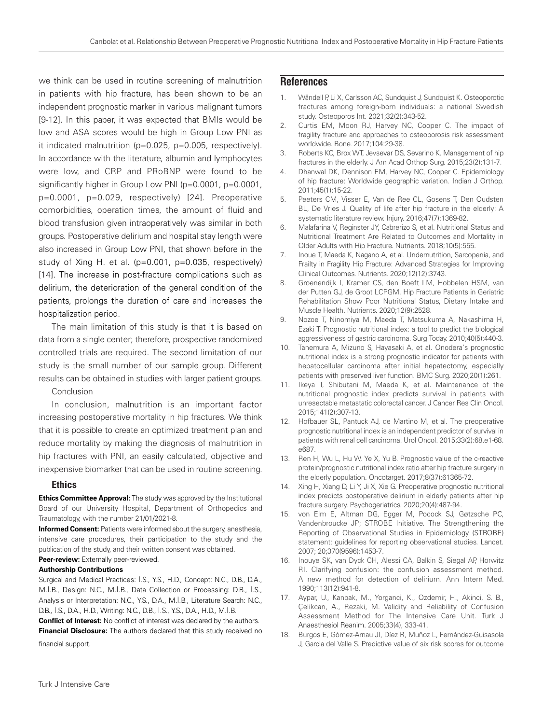we think can be used in routine screening of malnutrition in patients with hip fracture, has been shown to be an independent prognostic marker in various malignant tumors [9-12]. In this paper, it was expected that BMIs would be low and ASA scores would be high in Group Low PNI as it indicated malnutrition (p=0.025, p=0.005, respectively). In accordance with the literature, albumin and lymphocytes were low, and CRP and PRoBNP were found to be significantly higher in Group Low PNI (p=0.0001, p=0.0001, p=0.0001, p=0.029, respectively) [24]. Preoperative comorbidities, operation times, the amount of fluid and blood transfusion given intraoperatively was similar in both groups. Postoperative delirium and hospital stay length were also increased in Group Low PNI, that shown before in the study of Xing H. et al. (p=0.001, p=0.035, respectively) [14]. The increase in post-fracture complications such as delirium, the deterioration of the general condition of the patients, prolongs the duration of care and increases the hospitalization period.

The main limitation of this study is that it is based on data from a single center; therefore, prospective randomized controlled trials are required. The second limitation of our study is the small number of our sample group. Different results can be obtained in studies with larger patient groups.

Conclusion

In conclusion, malnutrition is an important factor increasing postoperative mortality in hip fractures. We think that it is possible to create an optimized treatment plan and reduce mortality by making the diagnosis of malnutrition in hip fractures with PNI, an easily calculated, objective and inexpensive biomarker that can be used in routine screening.

#### Ethics

**Ethics Committee Approval:** The study was approved by the Institutional Board of our University Hospital, Department of Orthopedics and Traumatology, with the number 21/01/2021-8.

**Informed Consent:** Patients were informed about the surgery, anesthesia, intensive care procedures, their participation to the study and the publication of the study, and their written consent was obtained. **Peer-review:** Externally peer-reviewed.

### **Authorship Contributions**

Surgical and Medical Practices: İ.S., Y.S., H.D., Concept: N.C., D.B., D.A., M.İ.B., Design: N.C., M.İ.B., Data Collection or Processing: D.B., İ.S., Analysis or Interpretation: N.C., Y.S., D.A., M.İ.B., Literature Search: N.C., D.B., İ.S., D.A., H.D., Writing: N.C., D.B., İ.S., Y.S., D.A., H.D., M.İ.B.

**Conflict of Interest:** No conflict of interest was declared by the authors. **Financial Disclosure:** The authors declared that this study received no financial support.

## **References**

- 1. Wändell P, Li X, Carlsson AC, Sundquist J, Sundquist K. Osteoporotic fractures among foreign-born individuals: a national Swedish study. Osteoporos Int. 2021;32(2):343-52.
- 2. Curtis EM, Moon RJ, Harvey NC, Cooper C. The impact of fragility fracture and approaches to osteoporosis risk assessment worldwide. Bone. 2017;104:29-38.
- 3. Roberts KC, Brox WT, Jevsevar DS, Sevarino K. Management of hip fractures in the elderly. J Am Acad Orthop Surg. 2015;23(2):131-7.
- 4. Dhanwal DK, Dennison EM, Harvey NC, Cooper C. Epidemiology of hip fracture: Worldwide geographic variation. Indian J Orthop. 2011;45(1):15-22.
- 5. Peeters CM, Visser E, Van de Ree CL, Gosens T, Den Oudsten BL, De Vries J. Quality of life after hip fracture in the elderly: A systematic literature review. Injury. 2016;47(7):1369-82.
- 6. Malafarina V, Reginster JY, Cabrerizo S, et al. Nutritional Status and Nutritional Treatment Are Related to Outcomes and Mortality in Older Adults with Hip Fracture. Nutrients. 2018;10(5):555.
- 7. Inoue T, Maeda K, Nagano A, et al. Undernutrition, Sarcopenia, and Frailty in Fragility Hip Fracture: Advanced Strategies for Improving Clinical Outcomes. Nutrients. 2020;12(12):3743.
- 8. Groenendijk I, Kramer CS, den Boeft LM, Hobbelen HSM, van der Putten GJ, de Groot LCPGM. Hip Fracture Patients in Geriatric Rehabilitation Show Poor Nutritional Status, Dietary Intake and Muscle Health. Nutrients. 2020;12(9):2528.
- 9. Nozoe T, Ninomiya M, Maeda T, Matsukuma A, Nakashima H, Ezaki T. Prognostic nutritional index: a tool to predict the biological aggressiveness of gastric carcinoma. Surg Today. 2010;40(5):440-3.
- 10. Tanemura A, Mizuno S, Hayasaki A, et al. Onodera's prognostic nutritional index is a strong prognostic indicator for patients with hepatocellular carcinoma after initial hepatectomy, especially patients with preserved liver function. BMC Surg. 2020;20(1):261.
- 11. Ikeya T, Shibutani M, Maeda K, et al. Maintenance of the nutritional prognostic index predicts survival in patients with unresectable metastatic colorectal cancer. J Cancer Res Clin Oncol. 2015;141(2):307-13.
- 12. Hofbauer SL, Pantuck AJ, de Martino M, et al. The preoperative prognostic nutritional index is an independent predictor of survival in patients with renal cell carcinoma. Urol Oncol. 2015;33(2):68.e1-68. e687.
- 13. Ren H, Wu L, Hu W, Ye X, Yu B. Prognostic value of the c-reactive protein/prognostic nutritional index ratio after hip fracture surgery in the elderly population. Oncotarget. 2017;8(37):61365-72.
- 14. Xing H, Xiang D, Li Y, Ji X, Xie G. Preoperative prognostic nutritional index predicts postoperative delirium in elderly patients after hip fracture surgery. Psychogeriatrics. 2020;20(4):487-94.
- 15. von Elm E, Altman DG, Egger M, Pocock SJ, Gøtzsche PC, Vandenbroucke JP; STROBE Initiative. The Strengthening the Reporting of Observational Studies in Epidemiology (STROBE) statement: guidelines for reporting observational studies. Lancet. 2007; 20;370(9596):1453-7.
- 16. Inouye SK, van Dyck CH, Alessi CA, Balkin S, Siegal AP, Horwitz RI. Clarifying confusion: the confusion assessment method. A new method for detection of delirium. Ann Intern Med. 1990;113(12):941-8.
- 17. Aypar, U., Kanbak, M., Yorganci, K., Ozdemir, H., Akinci, S. B., Çelikcan, A., Rezaki, M. Validity and Reliability of Confusion Assessment Method for The Intensive Care Unit. Turk J Anaesthesiol Reanim. 2005;33(4), 333-41.
- 18. Burgos E, Gómez-Arnau JI, Díez R, Muñoz L, Fernández-Guisasola J, Garcia del Valle S. Predictive value of six risk scores for outcome